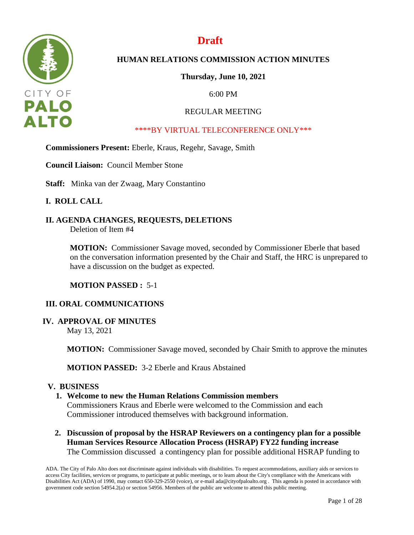

# **Draft**

# **HUMAN RELATIONS COMMISSION ACTION MINUTES**

**Thursday, June 10, 2021**

6:00 PM

## REGULAR MEETING

## \*\*\*\*BY VIRTUAL TELECONFERENCE ONLY\*\*\*

### **Commissioners Present:** Eberle, Kraus, Regehr, Savage, Smith

**Council Liaison:** Council Member Stone

**Staff:** Minka van der Zwaag, Mary Constantino

## **I. ROLL CALL**

# **II. AGENDA CHANGES, REQUESTS, DELETIONS**

Deletion of Item #4

**MOTION:** Commissioner Savage moved, seconded by Commissioner Eberle that based on the conversation information presented by the Chair and Staff, the HRC is unprepared to have a discussion on the budget as expected.

#### **MOTION PASSED :** 5-1

#### **III. ORAL COMMUNICATIONS**

#### **IV. APPROVAL OF MINUTES**

May 13, 2021

**MOTION:** Commissioner Savage moved, seconded by Chair Smith to approve the minutes

**MOTION PASSED:** 3-2 Eberle and Kraus Abstained

#### **V. BUSINESS**

#### **1. Welcome to new the Human Relations Commission members**

Commissioners Kraus and Eberle were welcomed to the Commission and each Commissioner introduced themselves with background information.

**2. Discussion of proposal by the HSRAP Reviewers on a contingency plan for a possible Human Services Resource Allocation Process (HSRAP) FY22 funding increase** The Commission discussed a contingency plan for possible additional HSRAP funding to

ADA. The City of Palo Alto does not discriminate against individuals with disabilities. To request accommodations, auxiliary aids or services to access City facilities, services or programs, to participate at public meetings, or to learn about the City's compliance with the Americans with Disabilities Act (ADA) of 1990, may contact 650-329-2550 (voice), or e-mail ada@cityofpaloalto.org . This agenda is posted in accordance with government code section 54954.2(a) or section 54956. Members of the public are welcome to attend this public meeting.